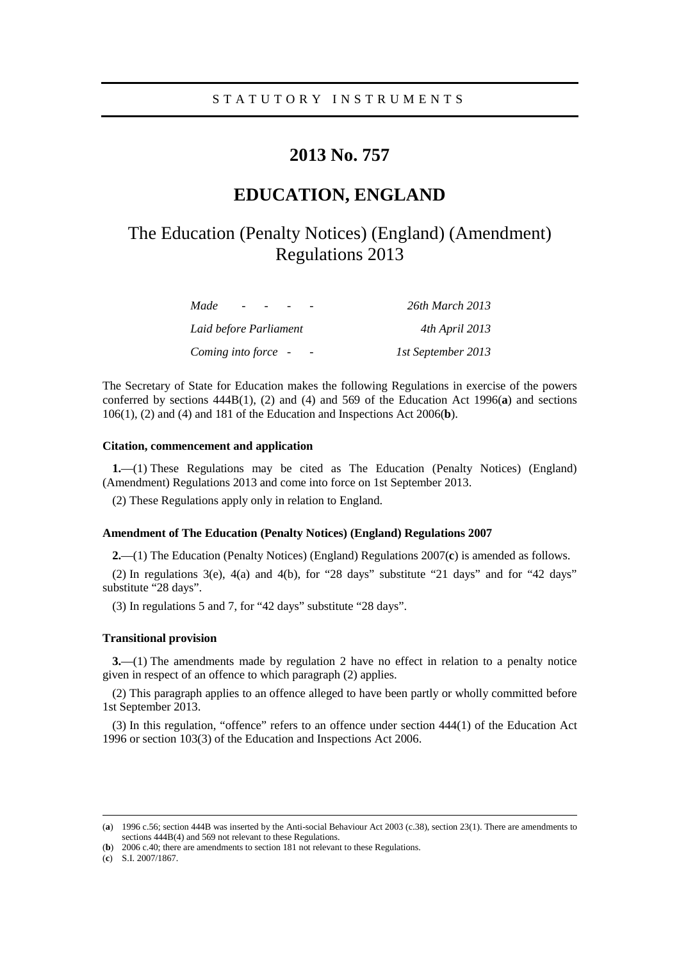# **2013 No. 757**

# **EDUCATION, ENGLAND**

# The Education (Penalty Notices) (England) (Amendment) Regulations 2013

| Made<br>$\overline{\phantom{0}}$ | 26th March 2013    |
|----------------------------------|--------------------|
| Laid before Parliament           | 4th April 2013     |
| Coming into force -              | 1st September 2013 |

The Secretary of State for Education makes the following Regulations in exercise of the powers conferred by sections 444B(1), (2) and (4) and 569 of the Education Act 1996(**a**) and sections 106(1), (2) and (4) and 181 of the Education and Inspections Act 2006(**b**).

## **Citation, commencement and application**

**1.**—(1) These Regulations may be cited as The Education (Penalty Notices) (England) (Amendment) Regulations 2013 and come into force on 1st September 2013.

(2) These Regulations apply only in relation to England.

### **Amendment of The Education (Penalty Notices) (England) Regulations 2007**

**2.**—(1) The Education (Penalty Notices) (England) Regulations 2007(**c**) is amended as follows.

(2) In regulations  $3(e)$ ,  $4(a)$  and  $4(b)$ , for "28 days" substitute "21 days" and for "42 days" substitute "28 days".

(3) In regulations 5 and 7, for "42 days" substitute "28 days".

#### **Transitional provision**

**3.**—(1) The amendments made by regulation 2 have no effect in relation to a penalty notice given in respect of an offence to which paragraph (2) applies.

(2) This paragraph applies to an offence alleged to have been partly or wholly committed before 1st September 2013.

(3) In this regulation, "offence" refers to an offence under section 444(1) of the Education Act 1996 or section 103(3) of the Education and Inspections Act 2006.

 <sup>(</sup>**a**) 1996 c.56; section 444B was inserted by the Anti-social Behaviour Act 2003 (c.38), section 23(1). There are amendments to sections 444B(4) and 569 not relevant to these Regulations.

<sup>(</sup>**b**) 2006 c.40; there are amendments to section 181 not relevant to these Regulations.

<sup>(</sup>**c**) S.I. 2007/1867.